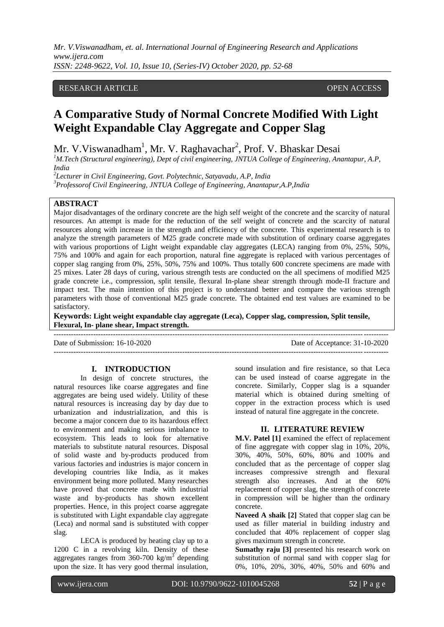# RESEARCH ARTICLE **CONSERVERS** OPEN ACCESS

# **A Comparative Study of Normal Concrete Modified With Light Weight Expandable Clay Aggregate and Copper Slag**

Mr. V.Viswanadham<sup>1</sup>, Mr. V. Raghavachar<sup>2</sup>, Prof. V. Bhaskar Desai

*<sup>1</sup>M.Tech (Structural engineering), Dept of civil engineering, JNTUA College of Engineering, Anantapur, A.P, India*

*2 Lecturer in Civil Engineering, Govt. Polytechnic, Satyavadu, A.P, India* 

*<sup>3</sup>Professorof Civil Engineering, JNTUA College of Engineering, Anantapur,A.P,India*

## **ABSTRACT**

Major disadvantages of the ordinary concrete are the high self weight of the concrete and the scarcity of natural resources. An attempt is made for the reduction of the self weight of concrete and the scarcity of natural resources along with increase in the strength and efficiency of the concrete. This experimental research is to analyze the strength parameters of M25 grade concrete made with substitution of ordinary coarse aggregates with various proportions of Light weight expandable clay aggregates (LECA) ranging from 0%, 25%, 50%, 75% and 100% and again for each proportion, natural fine aggregate is replaced with various percentages of copper slag ranging from 0%, 25%, 50%, 75% and 100%. Thus totally 600 concrete specimens are made with 25 mixes. Later 28 days of curing, various strength tests are conducted on the all specimens of modified M25 grade concrete i.e., compression, split tensile, flexural In-plane shear strength through mode-II fracture and impact test. The main intention of this project is to understand better and compare the various strength parameters with those of conventional M25 grade concrete. The obtained end test values are examined to be satisfactory.

**Keywords: Light weight expandable clay aggregate (Leca), Copper slag, compression, Split tensile, Flexural, In- plane shear, Impact strength.**

---------------------------------------------------------------------------------------------------------------------------------------

---------------------------------------------------------------------------------------------------------------------------------------

Date of Submission: 16-10-2020 Date of Acceptance: 31-10-2020

### **I. INTRODUCTION**

In design of concrete structures, the natural resources like coarse aggregates and fine aggregates are being used widely. Utility of these natural resources is increasing day by day due to urbanization and industrialization, and this is become a major concern due to its hazardous effect to environment and making serious imbalance to ecosystem. This leads to look for alternative materials to substitute natural resources. Disposal of solid waste and by-products produced from various factories and industries is major concern in developing countries like India, as it makes environment being more polluted. Many researches have proved that concrete made with industrial waste and by-products has shown excellent properties. Hence, in this project coarse aggregate is substituted with Light expandable clay aggregate (Leca) and normal sand is substituted with copper slag.

LECA is produced by heating clay up to a 1200 C in a revolving kiln. Density of these aggregates ranges from  $360-700$  kg/m<sup>3</sup> depending upon the size. It has very good thermal insulation,

sound insulation and fire resistance, so that Leca can be used instead of coarse aggregate in the concrete. Similarly, Copper slag is a squander material which is obtained during smelting of copper in the extraction process which is used instead of natural fine aggregate in the concrete.

### **II. LITERATURE REVIEW**

**M.V. Patel [1]** examined the effect of replacement of fine aggregate with copper slag in 10%, 20%, 30%, 40%, 50%, 60%, 80% and 100% and concluded that as the percentage of copper slag increases compressive strength and flexural strength also increases. And at the 60% replacement of copper slag, the strength of concrete in compression will be higher than the ordinary concrete.

**Naveed A shaik [2]** Stated that copper slag can be used as filler material in building industry and concluded that 40% replacement of copper slag gives maximum strength in concrete.

**Sumathy raju [3]** presented his research work on substitution of normal sand with copper slag for 0%, 10%, 20%, 30%, 40%, 50% and 60% and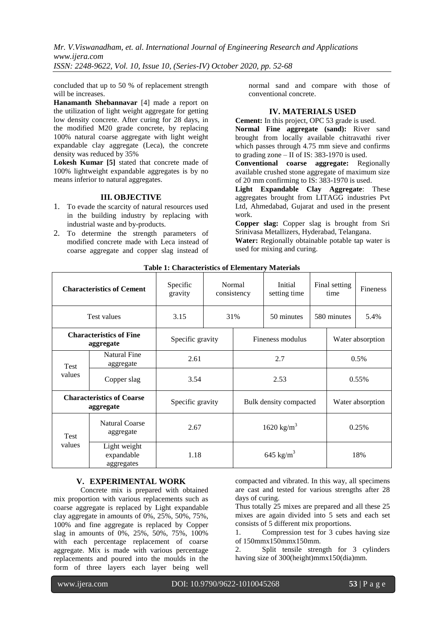concluded that up to 50 % of replacement strength will be increases.

**Hanamanth Shebannavar** [4] made a report on the utilization of light weight aggregate for getting low density concrete. After curing for 28 days, in the modified M20 grade concrete, by replacing 100% natural coarse aggregate with light weight expandable clay aggregate (Leca), the concrete density was reduced by 35%

**Lokesh Kumar [5]** stated that concrete made of 100% lightweight expandable aggregates is by no means inferior to natural aggregates.

### **III. OBJECTIVE**

- 1. To evade the scarcity of natural resources used in the building industry by replacing with industrial waste and by-products.
- 2. To determine the strength parameters of modified concrete made with Leca instead of coarse aggregate and copper slag instead of

normal sand and compare with those of conventional concrete.

### **IV. MATERIALS USED**

**Cement:** In this project, OPC 53 grade is used.

**Normal Fine aggregate (sand):** River sand brought from locally available chitravathi river which passes through 4.75 mm sieve and confirms to grading zone – II of IS: 383-1970 is used.

**Conventional coarse aggregate:** Regionally available crushed stone aggregate of maximum size of 20 mm confirming to IS: 383-1970 is used.

**Light Expandable Clay Aggregate**: These aggregates brought from LITAGG industries Pvt Ltd, Ahmedabad, Gujarat and used in the present work.

**Copper slag:** Copper slag is brought from Sri Srinivasa Metallizers, Hyderabad, Telangana.

**Water:** Regionally obtainable potable tap water is used for mixing and curing.

| <b>Characteristics of Cement</b>              |                                            | Specific<br>gravity | Normal<br>consistency  |                        | Initial<br>setting time |             | Final setting<br>time | <b>Fineness</b> |
|-----------------------------------------------|--------------------------------------------|---------------------|------------------------|------------------------|-------------------------|-------------|-----------------------|-----------------|
| <b>Test values</b>                            |                                            | 3.15                | 31%                    |                        | 50 minutes              | 580 minutes |                       | 5.4%            |
| <b>Characteristics of Fine</b><br>aggregate   |                                            | Specific gravity    |                        | Fineness modulus       |                         |             | Water absorption      |                 |
| <b>Test</b>                                   | <b>Natural Fine</b><br>aggregate           | 2.61                |                        | 2.7                    |                         |             | 0.5%                  |                 |
| values                                        | Copper slag                                | 3.54                |                        | 2.53                   |                         |             | $0.55\%$              |                 |
| <b>Characteristics of Coarse</b><br>aggregate |                                            | Specific gravity    |                        | Bulk density compacted |                         |             | Water absorption      |                 |
| <b>Test</b>                                   | <b>Natural Coarse</b><br>2.67<br>aggregate |                     | 1620 kg/m <sup>3</sup> |                        |                         | 0.25%       |                       |                 |
| values                                        | Light weight<br>expandable<br>aggregates   | 1.18                |                        | 645 kg/m <sup>3</sup>  |                         |             | 18%                   |                 |

## **Table 1: Characteristics of Elementary Materials**

### **V. EXPERIMENTAL WORK**

Concrete mix is prepared with obtained mix proportion with various replacements such as coarse aggregate is replaced by Light expandable clay aggregate in amounts of 0%, 25%, 50%, 75%, 100% and fine aggregate is replaced by Copper slag in amounts of 0%, 25%, 50%, 75%, 100% with each percentage replacement of coarse aggregate. Mix is made with various percentage replacements and poured into the moulds in the form of three layers each layer being well

compacted and vibrated. In this way, all specimens are cast and tested for various strengths after 28 days of curing.

Thus totally 25 mixes are prepared and all these 25 mixes are again divided into 5 sets and each set consists of 5 different mix proportions.

1. Compression test for 3 cubes having size of 150mmx150mmx150mm.

2. Split tensile strength for 3 cylinders having size of 300(height)mmx150(dia)mm.

www.ijera.com DOI: 10.9790/9622-1010045268 **53** | P a g e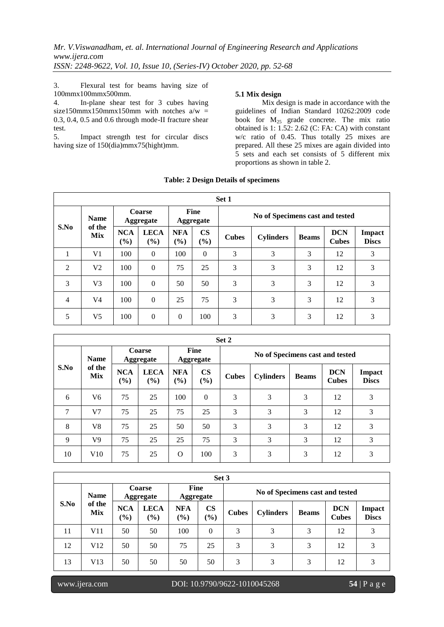3. Flexural test for beams having size of 100mmx100mmx500mm.

4. In-plane shear test for 3 cubes having size150mmx150mmx150mm with notches  $a/w =$ 0.3, 0.4, 0.5 and 0.6 through mode-II fracture shear test.<br> $5.$ 

Impact strength test for circular discs having size of 150(dia)mmx75(hight)mm.

### **5.1 Mix design**

Mix design is made in accordance with the guidelines of Indian Standard 10262:2009 code book for  $M_{25}$  grade concrete. The mix ratio obtained is  $1: 1.52: 2.62$  (C: FA: CA) with constant w/c ratio of 0.45. Thus totally 25 mixes are prepared. All these 25 mixes are again divided into 5 sets and each set consists of 5 different mix proportions as shown in table 2.

| Set 1          |                |                                   |                       |                          |                         |                                 |                  |              |                            |                        |  |
|----------------|----------------|-----------------------------------|-----------------------|--------------------------|-------------------------|---------------------------------|------------------|--------------|----------------------------|------------------------|--|
|                | <b>Name</b>    | <b>Coarse</b><br><b>Aggregate</b> |                       | Fine<br><b>Aggregate</b> |                         | No of Specimens cast and tested |                  |              |                            |                        |  |
| S.No           | of the<br>Mix  | <b>NCA</b><br>$(\%)$              | <b>LECA</b><br>$(\%)$ | <b>NFA</b><br>(%)        | $\mathbf{CS}$<br>$(\%)$ | <b>Cubes</b>                    | <b>Cylinders</b> | <b>Beams</b> | <b>DCN</b><br><b>Cubes</b> | Impact<br><b>Discs</b> |  |
|                | V <sub>1</sub> | 100                               | $\overline{0}$        | 100                      | $\theta$                | 3                               | 3                | 3            | 12                         | 3                      |  |
| $\overline{2}$ | V <sub>2</sub> | 100                               | $\overline{0}$        | 75                       | 25                      | 3                               | 3                | 3            | 12                         | 3                      |  |
| 3              | V <sub>3</sub> | 100                               | $\overline{0}$        | 50                       | 50                      | 3                               | 3                | 3            | 12                         | 3                      |  |
| $\overline{4}$ | V <sub>4</sub> | 100                               | $\boldsymbol{0}$      | 25                       | 75                      | 3                               | 3                | 3            | 12                         | 3                      |  |
| 5              | V <sub>5</sub> | 100                               | $\theta$              | $\mathbf{0}$             | 100                     | 3                               | 3                | 3            | 12                         | 3                      |  |

| Set 2  |                      |                            |                    |                          |                  |                                 |                  |              |                            |                               |  |
|--------|----------------------|----------------------------|--------------------|--------------------------|------------------|---------------------------------|------------------|--------------|----------------------------|-------------------------------|--|
|        | <b>Name</b>          | Coarse<br><b>Aggregate</b> |                    | Fine<br><b>Aggregate</b> |                  | No of Specimens cast and tested |                  |              |                            |                               |  |
| S.No   | of the<br><b>Mix</b> | <b>NCA</b><br>(%)          | <b>LECA</b><br>(%) | <b>NFA</b><br>$($ %)     | <b>CS</b><br>(%) | <b>Cubes</b>                    | <b>Cylinders</b> | <b>Beams</b> | <b>DCN</b><br><b>Cubes</b> | <b>Impact</b><br><b>Discs</b> |  |
| 6      | V6                   | 75                         | 25                 | 100                      | $\Omega$         | 3                               | 3                | 3            | 12                         | 3                             |  |
| $\tau$ | V <sub>7</sub>       | 75                         | 25                 | 75                       | 25               | 3                               | 3                | 3            | 12                         | 3                             |  |
| 8      | V8                   | 75                         | 25                 | 50                       | 50               | 3                               | 3                | 3            | 12                         | 3                             |  |
| 9      | V9                   | 75                         | 25                 | 25                       | 75               | 3                               | 3                | 3            | 12                         | 3                             |  |
| 10     | V10                  | 75                         | 25                 | $\Omega$                 | 100              | 3                               | 3                | 3            | 12                         | 3                             |  |

| Set 3 |                                     |                                   |                    |                          |                      |                                 |                  |              |                            |                        |  |
|-------|-------------------------------------|-----------------------------------|--------------------|--------------------------|----------------------|---------------------------------|------------------|--------------|----------------------------|------------------------|--|
| S.No  | <b>Name</b><br>of the<br><b>Mix</b> | <b>Coarse</b><br><b>Aggregate</b> |                    | <b>Fine</b><br>Aggregate |                      | No of Specimens cast and tested |                  |              |                            |                        |  |
|       |                                     | <b>NCA</b><br>$(\%)$              | <b>LECA</b><br>(%) | <b>NFA</b><br>$(\%)$     | $\mathbf{CS}$<br>(%) | <b>Cubes</b>                    | <b>Cylinders</b> | <b>Beams</b> | <b>DCN</b><br><b>Cubes</b> | Impact<br><b>Discs</b> |  |
| 11    | V11                                 | 50                                | 50                 | 100                      | $\theta$             | 3                               | 3                | 3            | 12                         | 3                      |  |
| 12    | V <sub>12</sub>                     | 50                                | 50                 | 75                       | 25                   | 3                               | 3                | 3            | 12                         | 3                      |  |
| 13    | V13                                 | 50                                | 50                 | 50                       | 50                   | 3                               | 3                | 3            | 12                         | 3                      |  |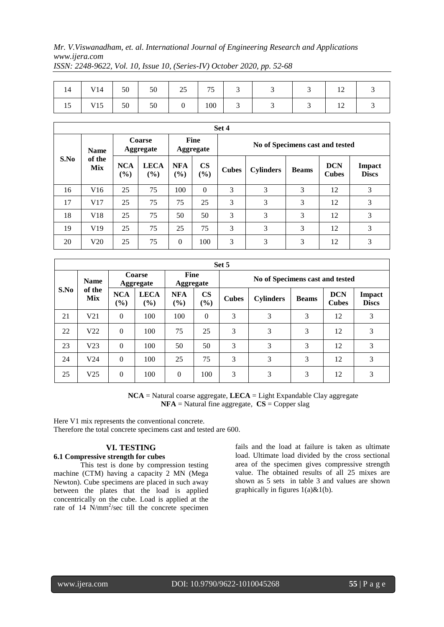| 14 | V14 | 50 | 50 | 25 <sub>2</sub> | $- -$<br>נ ו | ◡ | $\mathcal{L}$ | ◡ | $\overline{1}$ |  |
|----|-----|----|----|-----------------|--------------|---|---------------|---|----------------|--|
| 15 | V15 | 50 | 50 |                 | 100          |   |               |   | $\overline{1}$ |  |

|             | Set 4                      |                   |                       |                      |                                 |              |                  |              |                            |                               |  |  |
|-------------|----------------------------|-------------------|-----------------------|----------------------|---------------------------------|--------------|------------------|--------------|----------------------------|-------------------------------|--|--|
| <b>Name</b> | Coarse<br><b>Aggregate</b> |                   | Fine<br>Aggregate     |                      | No of Specimens cast and tested |              |                  |              |                            |                               |  |  |
| S.No        | of the<br>Mix              | <b>NCA</b><br>(%) | <b>LECA</b><br>$($ %) | <b>NFA</b><br>$(\%)$ | $\mathbf{CS}$<br>$(\%)$         | <b>Cubes</b> | <b>Cylinders</b> | <b>Beams</b> | <b>DCN</b><br><b>Cubes</b> | <b>Impact</b><br><b>Discs</b> |  |  |
| 16          | V16                        | 25                | 75                    | 100                  | $\theta$                        | 3            | 3                | 3            | 12                         | 3                             |  |  |
| 17          | V17                        | 25                | 75                    | 75                   | 25                              | 3            | 3                | 3            | 12                         | 3                             |  |  |
| 18          | V18                        | 25                | 75                    | 50                   | 50                              | 3            | 3                | 3            | 12                         | 3                             |  |  |
| 19          | V19                        | 25                | 75                    | 25                   | 75                              | 3            | 3                | 3            | 12                         | 3                             |  |  |
| 20          | V20                        | 25                | 75                    | $\mathbf{0}$         | 100                             | 3            | 3                | 3            | 12                         | 3                             |  |  |

| Set 5 |                 |                      |                                             |                                 |                         |                                 |                  |              |                            |                               |  |
|-------|-----------------|----------------------|---------------------------------------------|---------------------------------|-------------------------|---------------------------------|------------------|--------------|----------------------------|-------------------------------|--|
|       | <b>Name</b>     | Coarse<br>Aggregate  |                                             | <b>Fine</b><br><b>Aggregate</b> |                         | No of Specimens cast and tested |                  |              |                            |                               |  |
| S.No  | of the<br>Mix   | <b>NCA</b><br>$(\%)$ | <b>LECA</b><br>$\left( \frac{6}{6} \right)$ | <b>NFA</b><br>$(\%)$            | $\mathbf{CS}$<br>$(\%)$ | <b>Cubes</b>                    | <b>Cylinders</b> | <b>Beams</b> | <b>DCN</b><br><b>Cubes</b> | <b>Impact</b><br><b>Discs</b> |  |
| 21    | V <sub>21</sub> | $\Omega$             | 100                                         | 100                             | $\theta$                | 3                               | 3                | 3            | 12                         | 3                             |  |
| 22    | V <sub>22</sub> | $\Omega$             | 100                                         | 75                              | 25                      | 3                               | 3                | 3            | 12                         | 3                             |  |
| 23    | V <sub>23</sub> | $\Omega$             | 100                                         | 50                              | 50                      | 3                               | 3                | 3            | 12                         | 3                             |  |
| 24    | V <sub>24</sub> | $\Omega$             | 100                                         | 25                              | 75                      | 3                               | 3                | 3            | 12                         | 3                             |  |
| 25    | V <sub>25</sub> | $\theta$             | 100                                         | $\Omega$                        | 100                     | 3                               | 3                | 3            | 12                         | 3                             |  |

**NCA** = Natural coarse aggregate, **LECA** = Light Expandable Clay aggregate  $NFA = Natural fine aggregate, CS = Copper slag$ 

Here V1 mix represents the conventional concrete. Therefore the total concrete specimens cast and tested are 600.

# **VI. TESTING**

# **6.1 Compressive strength for cubes**

This test is done by compression testing machine (CTM) having a capacity 2 MN (Mega Newton). Cube specimens are placed in such away between the plates that the load is applied concentrically on the cube. Load is applied at the rate of  $14$  N/mm<sup>2</sup>/sec till the concrete specimen fails and the load at failure is taken as ultimate load. Ultimate load divided by the cross sectional area of the specimen gives compressive strength value. The obtained results of all 25 mixes are shown as 5 sets in table 3 and values are shown graphically in figures 1(a)&1(b).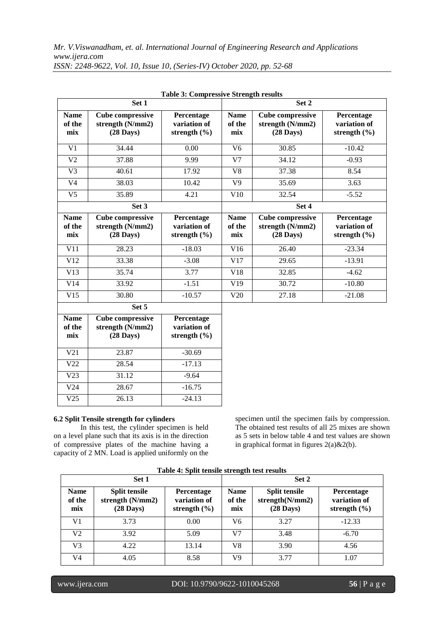|                              | Set 1                                                              |                                                |                              | Set 2                                                              |                                                |  |  |  |
|------------------------------|--------------------------------------------------------------------|------------------------------------------------|------------------------------|--------------------------------------------------------------------|------------------------------------------------|--|--|--|
| <b>Name</b><br>of the<br>mix | <b>Cube compressive</b><br>strength (N/mm2)<br>$(28 \text{ Days})$ | Percentage<br>variation of<br>strength $(\% )$ | <b>Name</b><br>of the<br>mix | <b>Cube compressive</b><br>strength (N/mm2)<br>$(28 \text{ Days})$ | Percentage<br>variation of<br>strength $(\% )$ |  |  |  |
| V1                           | 34.44                                                              | 0.00                                           | V <sub>6</sub>               | 30.85                                                              | $-10.42$                                       |  |  |  |
| V <sub>2</sub>               | 37.88                                                              | 9.99                                           | V <sub>7</sub>               | 34.12                                                              | $-0.93$                                        |  |  |  |
| V <sub>3</sub>               | 40.61                                                              | 17.92                                          | V8                           | 37.38                                                              | 8.54                                           |  |  |  |
| V <sub>4</sub>               | 38.03                                                              | 10.42                                          | V9                           | 35.69                                                              | 3.63                                           |  |  |  |
| V5                           | 35.89                                                              | 4.21                                           | V10                          | 32.54                                                              | $-5.52$                                        |  |  |  |
|                              | Set 3                                                              |                                                | Set 4                        |                                                                    |                                                |  |  |  |
| <b>Name</b><br>of the<br>mix | <b>Cube compressive</b><br>strength (N/mm2)<br>$(28 \text{ Days})$ | Percentage<br>variation of<br>strength $(\% )$ | <b>Name</b><br>of the<br>mix | <b>Cube compressive</b><br>strength (N/mm2)<br>$(28 \text{ Days})$ | Percentage<br>variation of<br>strength $(\% )$ |  |  |  |
| V11                          |                                                                    |                                                |                              |                                                                    |                                                |  |  |  |
|                              | 28.23                                                              | $-18.03$                                       | V16                          | 26.40                                                              | $-23.34$                                       |  |  |  |
| V <sub>12</sub>              | 33.38                                                              | $-3.08$                                        | V17                          | 29.65                                                              | $-13.91$                                       |  |  |  |
| V13                          | 35.74                                                              | 3.77                                           | V18                          | 32.85                                                              | $-4.62$                                        |  |  |  |
| V14                          | 33.92                                                              | $-1.51$                                        | V19                          | 30.72                                                              | $-10.80$                                       |  |  |  |
| V15                          | 30.80                                                              | $-10.57$                                       | V20                          | 27.18                                                              | $-21.08$                                       |  |  |  |

| Set 5                        |                                                                    |                                                |  |  |  |  |  |  |  |
|------------------------------|--------------------------------------------------------------------|------------------------------------------------|--|--|--|--|--|--|--|
| <b>Name</b><br>of the<br>mix | <b>Cube compressive</b><br>strength (N/mm2)<br>$(28 \text{ Days})$ | Percentage<br>variation of<br>strength $(\% )$ |  |  |  |  |  |  |  |
| V21                          | 23.87                                                              | $-30.69$                                       |  |  |  |  |  |  |  |
| V22                          | 28.54                                                              | $-17.13$                                       |  |  |  |  |  |  |  |
| V <sub>23</sub>              | 31.12                                                              | $-9.64$                                        |  |  |  |  |  |  |  |
| V <sub>24</sub>              | 28.67                                                              | $-16.75$                                       |  |  |  |  |  |  |  |
| V25                          | 26.13                                                              | $-24.13$                                       |  |  |  |  |  |  |  |

# **6.2 Split Tensile strength for cylinders**

In this test, the cylinder specimen is held on a level plane such that its axis is in the direction of compressive plates of the machine having a capacity of 2 MN. Load is applied uniformly on the specimen until the specimen fails by compression. The obtained test results of all 25 mixes are shown as 5 sets in below table 4 and test values are shown in graphical format in figures  $2(a) \& 2(b)$ .

|                              | Set 1                                                                                                                    |       | Set 2                        |                                                                |                                                |  |
|------------------------------|--------------------------------------------------------------------------------------------------------------------------|-------|------------------------------|----------------------------------------------------------------|------------------------------------------------|--|
| <b>Name</b><br>of the<br>mix | <b>Split tensile</b><br><b>Percentage</b><br>strength (N/mm2)<br>variation of<br>$(28 \text{ Days})$<br>strength $(\% )$ |       | <b>Name</b><br>of the<br>mix | <b>Split tensile</b><br>strength(N/mm2)<br>$(28 \text{ Days})$ | Percentage<br>variation of<br>strength $(\% )$ |  |
| V <sub>1</sub>               | 3.73                                                                                                                     | 0.00  | V6                           | 3.27                                                           | $-12.33$                                       |  |
| V2                           | 3.92                                                                                                                     | 5.09  | V7                           | 3.48                                                           | $-6.70$                                        |  |
| V3                           | 4.22                                                                                                                     | 13.14 | V8                           | 3.90                                                           | 4.56                                           |  |
| V4                           | 4.05                                                                                                                     | 8.58  | V9                           | 3.77                                                           | 1.07                                           |  |

**Table 4: Split tensile strength test results**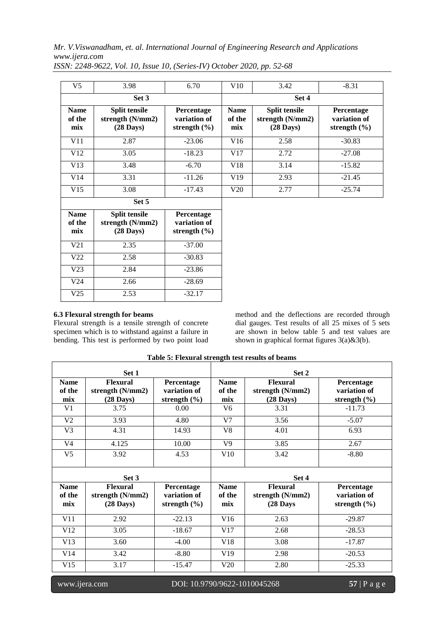| V <sub>5</sub>               | 3.98                                                              | 6.70                                           | V10                          | 3.42                                                              | $-8.31$                                        |
|------------------------------|-------------------------------------------------------------------|------------------------------------------------|------------------------------|-------------------------------------------------------------------|------------------------------------------------|
|                              | Set 3                                                             |                                                |                              | Set 4                                                             |                                                |
| <b>Name</b><br>of the<br>mix | <b>Split tensile</b><br>strength $(N/mm2)$<br>$(28 \text{ Days})$ | Percentage<br>variation of<br>strength $(\% )$ | <b>Name</b><br>of the<br>mix | <b>Split tensile</b><br>strength $(N/mm2)$<br>$(28 \text{ Days})$ | Percentage<br>variation of<br>strength $(\% )$ |
| V11                          | 2.87                                                              | $-23.06$                                       | V16                          | 2.58                                                              | $-30.83$                                       |
| V12                          | 3.05                                                              | $-18.23$                                       | V17                          | 2.72                                                              | $-27.08$                                       |
| V13                          | 3.48                                                              | $-6.70$                                        | V18                          | 3.14                                                              | $-15.82$                                       |
| V14                          | 3.31                                                              | $-11.26$                                       | V19                          | 2.93                                                              | $-21.45$                                       |
| V15                          | 3.08                                                              | $-17.43$                                       | V20                          | 2.77                                                              | $-25.74$                                       |
|                              | Set 5                                                             |                                                |                              |                                                                   |                                                |

*ISSN: 2248-9622, Vol. 10, Issue 10, (Series-IV) October 2020, pp. 52-68*

| V15                          | 3.08                                                            | $-17.43$                                              |
|------------------------------|-----------------------------------------------------------------|-------------------------------------------------------|
|                              | Set 5                                                           |                                                       |
| <b>Name</b><br>of the<br>mix | <b>Split tensile</b><br>strength (N/mm2)<br>$(28 \text{ Days})$ | <b>Percentage</b><br>variation of<br>strength $(\% )$ |
| V <sub>21</sub>              | 2.35                                                            | $-37.00$                                              |
| V22                          | 2.58                                                            | $-30.83$                                              |
| V <sub>23</sub>              | 2.84                                                            | $-23.86$                                              |
| V <sub>24</sub>              | 2.66                                                            | $-28.69$                                              |
| V25                          | 2.53                                                            | $-32.17$                                              |

### **6.3 Flexural strength for beams**

Flexural strength is a tensile strength of concrete specimen which is to withstand against a failure in bending. This test is performed by two point load

method and the deflections are recorded through dial gauges. Test results of all 25 mixes of 5 sets are shown in below table 5 and test values are shown in graphical format figures 3(a)&3(b).

|                              | Set 1<br>Set 2                                             |                                                |                              |                                                            |                                                |  |  |  |
|------------------------------|------------------------------------------------------------|------------------------------------------------|------------------------------|------------------------------------------------------------|------------------------------------------------|--|--|--|
| <b>Name</b><br>of the<br>mix | <b>Flexural</b><br>strength (N/mm2)<br>$(28 \text{ Days})$ | Percentage<br>variation of<br>strength $(\% )$ | <b>Name</b><br>of the<br>mix | <b>Flexural</b><br>strength (N/mm2)<br>$(28 \text{ Days})$ | Percentage<br>variation of<br>strength $(\% )$ |  |  |  |
| V <sub>1</sub>               | 3.75                                                       | 0.00                                           | V <sub>6</sub>               | 3.31                                                       | $-11.73$                                       |  |  |  |
| V <sub>2</sub>               | 3.93                                                       | 4.80                                           | V <sub>7</sub>               | 3.56                                                       | $-5.07$                                        |  |  |  |
| V <sub>3</sub>               | 4.31                                                       | 14.93                                          | V8                           | 4.01                                                       | 6.93                                           |  |  |  |
| V <sub>4</sub>               | 4.125                                                      | 10.00                                          | V9                           | 3.85                                                       | 2.67                                           |  |  |  |
| V <sub>5</sub>               | 3.92                                                       | 4.53                                           | V10                          | 3.42                                                       | $-8.80$                                        |  |  |  |
|                              | Set 3                                                      |                                                |                              | Set 4                                                      |                                                |  |  |  |
| <b>Name</b><br>of the<br>mix | Flexural<br>strength (N/mm2)<br>$(28 \text{ Days})$        | Percentage<br>variation of<br>strength $(\% )$ | <b>Name</b><br>of the<br>mix | <b>Flexural</b><br>strength (N/mm2)<br>$(28$ Days          | Percentage<br>variation of<br>strength $(\% )$ |  |  |  |
| V11                          | 2.92                                                       | $-22.13$                                       | V16                          | 2.63                                                       | $-29.87$                                       |  |  |  |
| V12                          | 3.05                                                       | $-18.67$                                       | V17                          | 2.68                                                       | $-28.53$                                       |  |  |  |
| V13                          | 3.60                                                       | $-4.00$                                        | V18                          | 3.08                                                       | $-17.87$                                       |  |  |  |
| V14                          | 3.42                                                       | $-8.80$                                        | V19                          | 2.98                                                       | $-20.53$                                       |  |  |  |
| V15                          | 3.17                                                       | $-15.47$                                       | V20                          | 2.80                                                       | $-25.33$                                       |  |  |  |

**Table 5: Flexural strength test results of beams**

www.ijera.com DOI: 10.9790/9622-1010045268 **57** | P a g e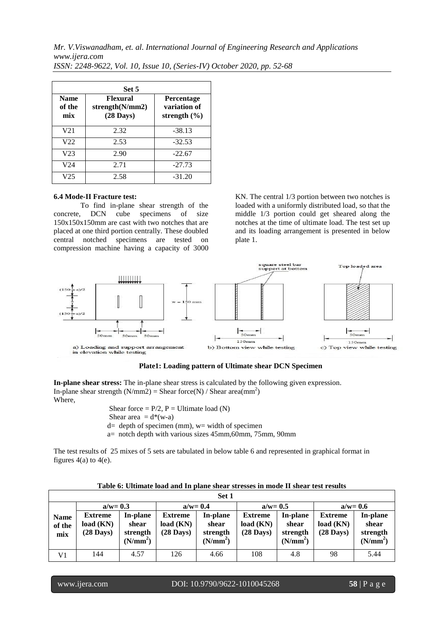|                              | Set 5                                                         |                                                       |  |  |  |  |  |  |  |  |
|------------------------------|---------------------------------------------------------------|-------------------------------------------------------|--|--|--|--|--|--|--|--|
| <b>Name</b><br>of the<br>mix | <b>Flexural</b><br>strength $(N/mm 2)$<br>$(28 \text{ Days})$ | <b>Percentage</b><br>variation of<br>strength $(\% )$ |  |  |  |  |  |  |  |  |
| V <sub>21</sub>              | 2.32                                                          | $-38.13$                                              |  |  |  |  |  |  |  |  |
| V <sub>22</sub>              | 2.53                                                          | $-32.53$                                              |  |  |  |  |  |  |  |  |
| V <sub>23</sub>              | 2.90                                                          | $-22.67$                                              |  |  |  |  |  |  |  |  |
| V24                          | 2.71                                                          | $-27.73$                                              |  |  |  |  |  |  |  |  |
| V25                          | 2.58                                                          | $-31.20$                                              |  |  |  |  |  |  |  |  |

*ISSN: 2248-9622, Vol. 10, Issue 10, (Series-IV) October 2020, pp. 52-68*

#### **6.4 Mode-II Fracture test:**

To find in-plane shear strength of the concrete, DCN cube specimens of size 150x150x150mm are cast with two notches that are placed at one third portion centrally. These doubled central notched specimens are tested on compression machine having a capacity of 3000 KN. The central 1/3 portion between two notches is loaded with a uniformly distributed load, so that the middle 1/3 portion could get sheared along the notches at the time of ultimate load. The test set up and its loading arrangement is presented in below plate 1.



### **Plate1: Loading pattern of Ultimate shear DCN Specimen**

**In-plane shear stress:** The in-plane shear stress is calculated by the following given expression. In-plane shear strength ( $N/mm2$ ) = Shear force( $N$ ) / Shear area( $mm^2$ )  $)$ Where,

> Shear force =  $P/2$ ,  $P =$  Ultimate load (N) Shear area  $= d^*(w-a)$  $d=$  depth of specimen (mm),  $w=$  width of specimen a= notch depth with various sizes 45mm,60mm, 75mm, 90mm

The test results of 25 mixes of 5 sets are tabulated in below table 6 and represented in graphical format in figures  $4(a)$  to  $4(e)$ .

| Table 6: Ultimate load and In plane shear stresses in mode II shear test results |  |  |
|----------------------------------------------------------------------------------|--|--|
|----------------------------------------------------------------------------------|--|--|

|                              | Set 1                                       |                                                       |                                                    |                                                       |                                            |                                                       |                                                    |                                                       |  |  |  |
|------------------------------|---------------------------------------------|-------------------------------------------------------|----------------------------------------------------|-------------------------------------------------------|--------------------------------------------|-------------------------------------------------------|----------------------------------------------------|-------------------------------------------------------|--|--|--|
|                              | $a/w = 0.3$                                 |                                                       | $a/w = 0.4$                                        |                                                       | $a/w = 0.5$                                |                                                       | $a/w = 0.6$                                        |                                                       |  |  |  |
| <b>Name</b><br>of the<br>mix | Extreme<br>load (KN)<br>$(28 \text{ Days})$ | In-plane<br>shear<br>strength<br>(N/mm <sup>2</sup> ) | <b>Extreme</b><br>load (KN)<br>$(28 \text{ Days})$ | In-plane<br>shear<br>strength<br>(N/mm <sup>2</sup> ) | <b>Extreme</b><br>load (KN)<br>$(28$ Days) | In-plane<br>shear<br>strength<br>(N/mm <sup>2</sup> ) | <b>Extreme</b><br>load (KN)<br>$(28 \text{ Days})$ | In-plane<br>shear<br>strength<br>(N/mm <sup>2</sup> ) |  |  |  |
| V1                           | 144                                         | 4.57                                                  | 126                                                | 4.66                                                  | 108                                        | 4.8                                                   | 98                                                 | 5.44                                                  |  |  |  |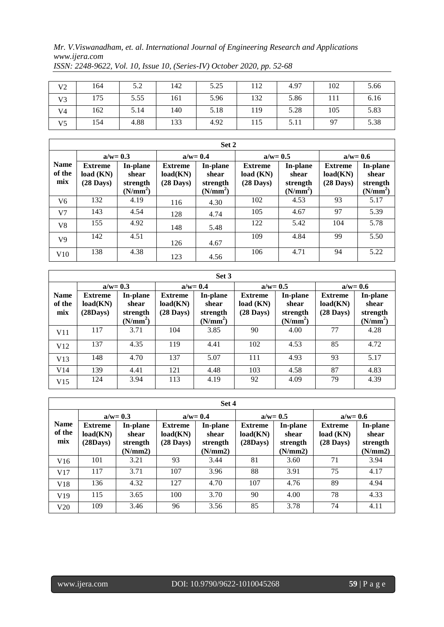|                | 164 | 5.2  | 142 | 5.25 | 112 | 4.97 | 102 | 5.66 |
|----------------|-----|------|-----|------|-----|------|-----|------|
| V <sub>2</sub> |     |      |     |      |     |      |     |      |
| V <sub>3</sub> | 175 | 5.55 | 161 | 5.96 | 132 | 5.86 |     | 6.16 |
| V4             | 162 | 5.14 | 140 | 5.18 | 119 | 5.28 | 105 | 5.83 |
| V5             | 154 | 4.88 | 133 | 4.92 | 115 | 5.11 | 97  | 5.38 |

*ISSN: 2248-9622, Vol. 10, Issue 10, (Series-IV) October 2020, pp. 52-68*

|                              | Set 2                                              |                                                       |                                                   |                                                       |                                                    |                                                       |                                                   |                                                       |  |  |  |  |
|------------------------------|----------------------------------------------------|-------------------------------------------------------|---------------------------------------------------|-------------------------------------------------------|----------------------------------------------------|-------------------------------------------------------|---------------------------------------------------|-------------------------------------------------------|--|--|--|--|
|                              | $a/w = 0.3$                                        |                                                       | $a/w = 0.4$                                       |                                                       | $a/w = 0.5$                                        |                                                       | $a/w = 0.6$                                       |                                                       |  |  |  |  |
| <b>Name</b><br>of the<br>mix | <b>Extreme</b><br>load (KN)<br>$(28 \text{ Days})$ | In-plane<br>shear<br>strength<br>(N/mm <sup>2</sup> ) | <b>Extreme</b><br>load(KN)<br>$(28 \text{ Days})$ | In-plane<br>shear<br>strength<br>(N/mm <sup>2</sup> ) | <b>Extreme</b><br>load (KN)<br>$(28 \text{ Days})$ | In-plane<br>shear<br>strength<br>(N/mm <sup>2</sup> ) | <b>Extreme</b><br>load(KN)<br>$(28 \text{ Days})$ | In-plane<br>shear<br>strength<br>(N/mm <sup>2</sup> ) |  |  |  |  |
| V6                           | 132                                                | 4.19                                                  | 116                                               | 4.30                                                  | 102                                                | 4.53                                                  | 93                                                | 5.17                                                  |  |  |  |  |
| V <sub>7</sub>               | 143                                                | 4.54                                                  | 128                                               | 4.74                                                  | 105                                                | 4.67                                                  | 97                                                | 5.39                                                  |  |  |  |  |
| V <sub>8</sub>               | 155                                                | 4.92                                                  | 148                                               | 5.48                                                  | 122                                                | 5.42                                                  | 104                                               | 5.78                                                  |  |  |  |  |
| V <sub>9</sub>               | 142                                                | 4.51                                                  | 126                                               | 4.67                                                  | 109                                                | 4.84                                                  | 99                                                | 5.50                                                  |  |  |  |  |
| V10                          | 138                                                | 4.38                                                  | 123                                               | 4.56                                                  | 106                                                | 4.71                                                  | 94                                                | 5.22                                                  |  |  |  |  |

|                              | Set 3                                        |                                                       |                                                   |                                                       |                                                    |                                                       |                                                   |                                                       |  |  |  |
|------------------------------|----------------------------------------------|-------------------------------------------------------|---------------------------------------------------|-------------------------------------------------------|----------------------------------------------------|-------------------------------------------------------|---------------------------------------------------|-------------------------------------------------------|--|--|--|
|                              | $a/w = 0.3$                                  |                                                       |                                                   | $a/w = 0.4$                                           | $a/w = 0.5$                                        |                                                       |                                                   | $a/w = 0.6$                                           |  |  |  |
| <b>Name</b><br>of the<br>mix | <b>Extreme</b><br>load(KN)<br>$(28$ Days $)$ | In-plane<br>shear<br>strength<br>(N/mm <sup>2</sup> ) | <b>Extreme</b><br>load(KN)<br>$(28 \text{ Days})$ | In-plane<br>shear<br>strength<br>(N/mm <sup>2</sup> ) | <b>Extreme</b><br>load (KN)<br>$(28 \text{ Days})$ | In-plane<br>shear<br>strength<br>(N/mm <sup>2</sup> ) | <b>Extreme</b><br>load(KN)<br>$(28 \text{ Days})$ | In-plane<br>shear<br>strength<br>(N/mm <sup>2</sup> ) |  |  |  |
| V11                          | 117                                          | 3.71                                                  | 104                                               | 3.85                                                  | 90                                                 | 4.00                                                  | 77                                                | 4.28                                                  |  |  |  |
| V12                          | 137                                          | 4.35                                                  | 119                                               | 4.41                                                  | 102                                                | 4.53                                                  | 85                                                | 4.72                                                  |  |  |  |
| V13                          | 148                                          | 4.70                                                  | 137                                               | 5.07                                                  | 111                                                | 4.93                                                  | 93                                                | 5.17                                                  |  |  |  |
| V <sub>14</sub>              | 139                                          | 4.41                                                  | 121                                               | 4.48                                                  | 103                                                | 4.58                                                  | 87                                                | 4.83                                                  |  |  |  |
| V15                          | 124                                          | 3.94                                                  | 113                                               | 4.19                                                  | 92                                                 | 4.09                                                  | 79                                                | 4.39                                                  |  |  |  |

|     | Set 4 |  |
|-----|-------|--|
| 0.4 |       |  |

|                              |                                              | $a/w = 0.3$                              |                                           | $a/w = 0.4$                              |                                              | $a/w = 0.5$                              |                                                    | $a/w = 0.6$                              |  |
|------------------------------|----------------------------------------------|------------------------------------------|-------------------------------------------|------------------------------------------|----------------------------------------------|------------------------------------------|----------------------------------------------------|------------------------------------------|--|
| <b>Name</b><br>of the<br>mix | <b>Extreme</b><br>load(KN)<br>$(28$ Days $)$ | In-plane<br>shear<br>strength<br>(N/mm2) | <b>Extreme</b><br>load(KN)<br>$(28$ Days) | In-plane<br>shear<br>strength<br>(N/mm2) | <b>Extreme</b><br>load(KN)<br>$(28$ Days $)$ | In-plane<br>shear<br>strength<br>(N/mm2) | <b>Extreme</b><br>load (KN)<br>$(28 \text{ Days})$ | In-plane<br>shear<br>strength<br>(N/mm2) |  |
| V16                          | 101                                          | 3.21                                     | 93                                        | 3.44                                     | 81                                           | 3.60                                     | 71                                                 | 3.94                                     |  |
| V17                          | 117                                          | 3.71                                     | 107                                       | 3.96                                     | 88                                           | 3.91                                     | 75                                                 | 4.17                                     |  |
| V18                          | 136                                          | 4.32                                     | 127                                       | 4.70                                     | 107                                          | 4.76                                     | 89                                                 | 4.94                                     |  |
| V19                          | 115                                          | 3.65                                     | 100                                       | 3.70                                     | 90                                           | 4.00                                     | 78                                                 | 4.33                                     |  |
| V20                          | 109                                          | 3.46                                     | 96                                        | 3.56                                     | 85                                           | 3.78                                     | 74                                                 | 4.11                                     |  |

 $\lceil$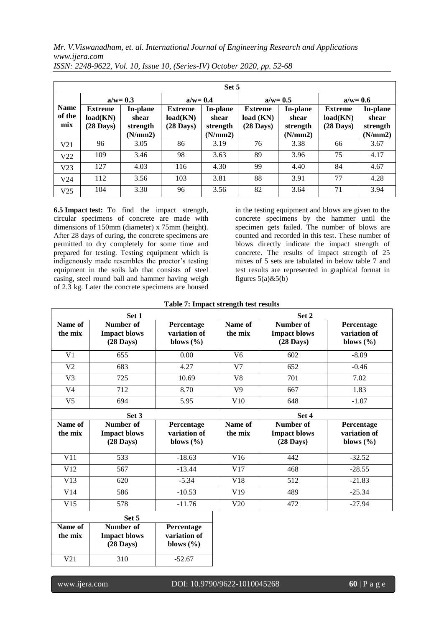| Set 5                        |                                                   |                               |                                                   |                               |                                                    |                               |                                                   |                               |
|------------------------------|---------------------------------------------------|-------------------------------|---------------------------------------------------|-------------------------------|----------------------------------------------------|-------------------------------|---------------------------------------------------|-------------------------------|
|                              | $a/w = 0.3$                                       |                               | $a/w = 0.4$                                       |                               | $a/w = 0.5$                                        |                               | $a/w = 0.6$                                       |                               |
| <b>Name</b><br>of the<br>mix | <b>Extreme</b><br>load(KN)<br>$(28 \text{ Days})$ | In-plane<br>shear<br>strength | <b>Extreme</b><br>load(KN)<br>$(28 \text{ Days})$ | In-plane<br>shear<br>strength | <b>Extreme</b><br>load (KN)<br>$(28 \text{ Days})$ | In-plane<br>shear<br>strength | <b>Extreme</b><br>load(KN)<br>$(28 \text{ Days})$ | In-plane<br>shear<br>strength |
|                              |                                                   | (N/mm2)                       |                                                   | (N/mm2)                       |                                                    | (N/mm2)                       |                                                   | (N/mm2)                       |
| V <sub>21</sub>              | 96                                                | 3.05                          | 86                                                | 3.19                          | 76                                                 | 3.38                          | 66                                                | 3.67                          |
| V <sub>22</sub>              | 109                                               | 3.46                          | 98                                                | 3.63                          | 89                                                 | 3.96                          | 75                                                | 4.17                          |
| V <sub>23</sub>              | 127                                               | 4.03                          | 116                                               | 4.30                          | 99                                                 | 4.40                          | 84                                                | 4.67                          |
| V <sub>24</sub>              | 112                                               | 3.56                          | 103                                               | 3.81                          | 88                                                 | 3.91                          | 77                                                | 4.28                          |
| V <sub>25</sub>              | 104                                               | 3.30                          | 96                                                | 3.56                          | 82                                                 | 3.64                          | 71                                                | 3.94                          |

*ISSN: 2248-9622, Vol. 10, Issue 10, (Series-IV) October 2020, pp. 52-68*

**6.5 Impact test:** To find the impact strength, circular specimens of concrete are made with dimensions of 150mm (diameter) x 75mm (height). After 28 days of curing, the concrete specimens are permitted to dry completely for some time and prepared for testing. Testing equipment which is indigenously made resembles the proctor's testing equipment in the soils lab that consists of steel casing, steel round ball and hammer having weigh of 2.3 kg. Later the concrete specimens are housed

in the testing equipment and blows are given to the concrete specimens by the hammer until the specimen gets failed. The number of blows are counted and recorded in this test. These number of blows directly indicate the impact strength of concrete. The results of impact strength of 25 mixes of 5 sets are tabulated in below table 7 and test results are represented in graphical format in figures  $5(a)$ & $5(b)$ 

### **Table 7: Impact strength test results**

|                    | Set 1                                                   |                                             |                    | Set 2                                                   |                                             |
|--------------------|---------------------------------------------------------|---------------------------------------------|--------------------|---------------------------------------------------------|---------------------------------------------|
| Name of<br>the mix | Number of<br><b>Impact blows</b><br>$(28 \text{ Days})$ | Percentage<br>variation of<br>blows $(\% )$ | Name of<br>the mix | Number of<br><b>Impact blows</b><br>$(28 \text{ Days})$ | Percentage<br>variation of<br>blows $(\% )$ |
| V <sub>1</sub>     | 655                                                     | 0.00                                        | V <sub>6</sub>     | 602                                                     | $-8.09$                                     |
| V <sub>2</sub>     | 683                                                     | 4.27                                        | V <sub>7</sub>     | 652                                                     | $-0.46$                                     |
| V <sub>3</sub>     | 725                                                     | 10.69                                       | V8                 | 701                                                     | 7.02                                        |
| V <sub>4</sub>     | 712                                                     | 8.70                                        | V <sub>9</sub>     | 667                                                     | 1.83                                        |
| V <sub>5</sub>     | 694                                                     | 5.95                                        | V10                | 648                                                     | $-1.07$                                     |
|                    | Set 3                                                   |                                             | Set 4              |                                                         |                                             |
| Name of<br>the mix | Number of<br><b>Impact blows</b><br>$(28 \text{ Days})$ | Percentage<br>variation of<br>blows $(\% )$ | Name of<br>the mix | Number of<br><b>Impact blows</b><br>$(28 \text{ Days})$ | Percentage<br>variation of<br>blows $(\% )$ |
| V11                | 533                                                     | $-18.63$                                    | V16                | 442                                                     | $-32.52$                                    |
| V12                | 567                                                     | $-13.44$                                    | V17                | 468                                                     | $-28.55$                                    |
| V13                | 620                                                     | $-5.34$                                     | V18                | 512                                                     | $-21.83$                                    |
| V14                | 586                                                     | $-10.53$                                    | V19                | 489                                                     | $-25.34$                                    |
| V15                | 578                                                     | $-11.76$                                    | V20                | 472                                                     | $-27.94$                                    |
|                    | Set 5                                                   |                                             |                    |                                                         |                                             |

| .                  |                                                         |                                                    |  |  |  |
|--------------------|---------------------------------------------------------|----------------------------------------------------|--|--|--|
| Name of<br>the mix | Number of<br><b>Impact blows</b><br>$(28 \text{ Days})$ | <b>Percentage</b><br>variation of<br>blows $(\% )$ |  |  |  |
| V21                | 310                                                     | $-52.67$                                           |  |  |  |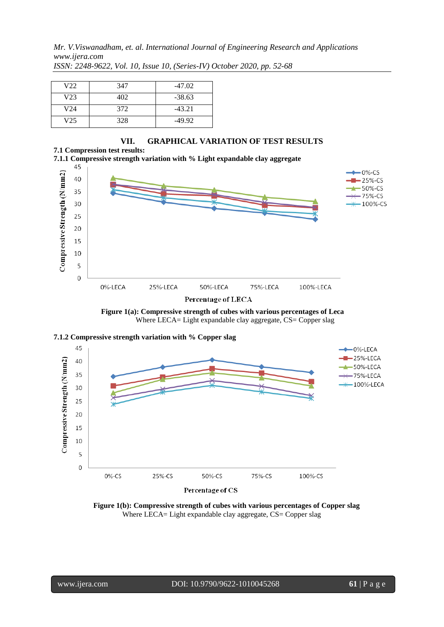| V22 | 347 | $-47.02$ |
|-----|-----|----------|
| V23 | 402 | $-38.63$ |
| V24 | 372 | $-43.21$ |
| V25 | 328 | $-49.92$ |

# **VII. GRAPHICAL VARIATION OF TEST RESULTS**

**7.1 Compression test results: 7.1.1 Compressive strength variation with % Light expandable clay aggregate**









 **Figure 1(b): Compressive strength of cubes with various percentages of Copper slag**  Where LECA= Light expandable clay aggregate, CS= Copper slag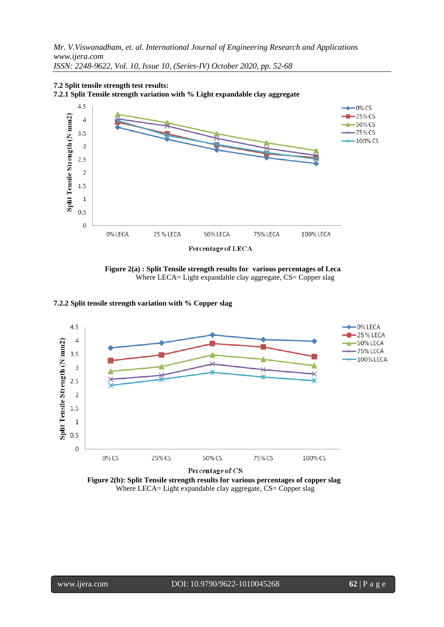

**7.2 Split tensile strength test results: 7.2.1 Split Tensile strength variation with % Light expandable clay aggregate**

 **Figure 2(a) : Split Tensile strength results for various percentages of Leca**  Where LECA= Light expandable clay aggregate, CS= Copper slag

### **7.2.2 Split tensile strength variation with % Copper slag**



 **Figure 2(b): Split Tensile strength results for various percentages of copper slag** Where LECA= Light expandable clay aggregate, CS= Copper slag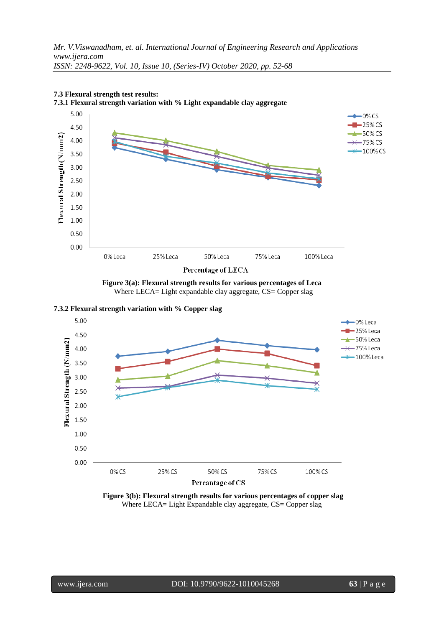

### **7.3 Flexural strength test results: 7.3.1 Flexural strength variation with % Light expandable clay aggregate**

 **Figure 3(a): Flexural strength results for various percentages of Leca**  Where LECA= Light expandable clay aggregate, CS= Copper slag





 **Figure 3(b): Flexural strength results for various percentages of copper slag** Where LECA= Light Expandable clay aggregate, CS= Copper slag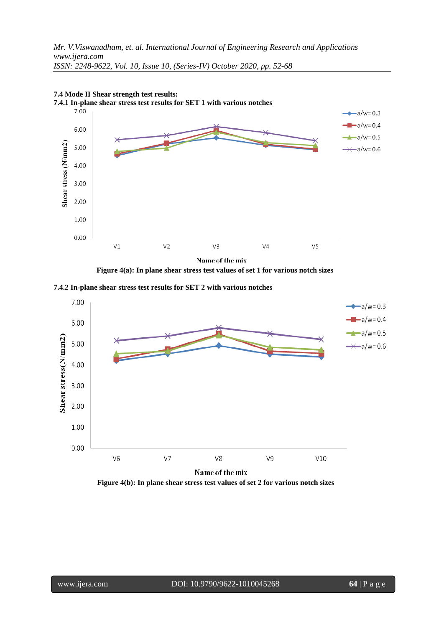

# **7.4 Mode II Shear strength test results:**

 **Figure 4(a): In plane shear stress test values of set 1 for various notch sizes**

**7.4.2 In-plane shear stress test results for SET 2 with various notches**



 **Figure 4(b): In plane shear stress test values of set 2 for various notch sizes**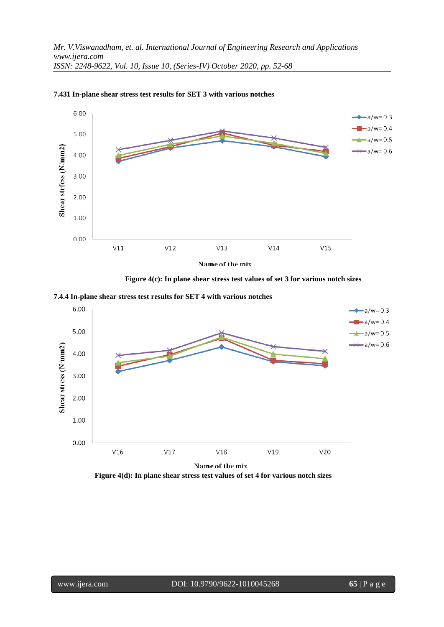

**7.431 In-plane shear stress test results for SET 3 with various notches**



**7.4.4 In-plane shear stress test results for SET 4 with various notches**



 **Figure 4(d): In plane shear stress test values of set 4 for various notch sizes**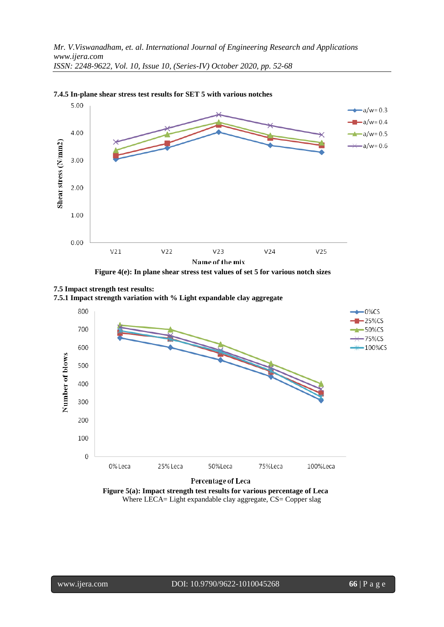

#### **7.4.5 In-plane shear stress test results for SET 5 with various notches**



**7.5 Impact strength test results:** 

**7.5.1 Impact strength variation with % Light expandable clay aggregate**



 **Figure 5(a): Impact strength test results for various percentage of Leca**  Where LECA= Light expandable clay aggregate, CS= Copper slag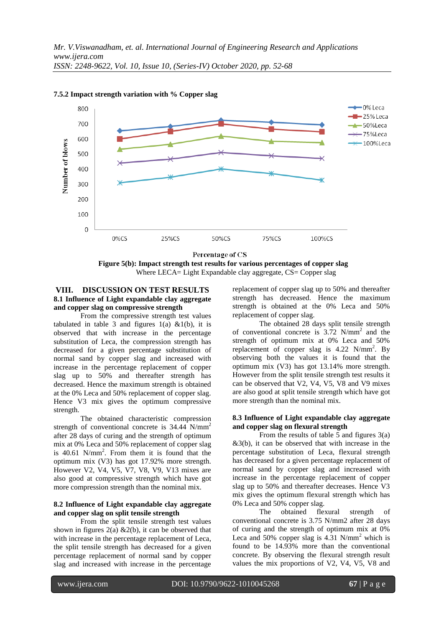

**7.5.2 Impact strength variation with % Copper slag**



# **VIII. DISCUSSION ON TEST RESULTS 8.1 Influence of Light expandable clay aggregate and copper slag on compressive strength**

From the compressive strength test values tabulated in table 3 and figures  $1(a)$  &1(b), it is observed that with increase in the percentage substitution of Leca, the compression strength has decreased for a given percentage substitution of normal sand by copper slag and increased with increase in the percentage replacement of copper slag up to 50% and thereafter strength has decreased. Hence the maximum strength is obtained at the 0% Leca and 50% replacement of copper slag. Hence V3 mix gives the optimum compressive strength.

The obtained characteristic compression strength of conventional concrete is 34.44 N/mm<sup>2</sup> after 28 days of curing and the strength of optimum mix at 0% Leca and 50% replacement of copper slag is 40.61 N/mm<sup>2</sup> . From them it is found that the optimum mix (V3) has got 17.92% more strength. However V2, V4, V5, V7, V8, V9, V13 mixes are also good at compressive strength which have got more compression strength than the nominal mix.

### **8.2 Influence of Light expandable clay aggregate and copper slag on split tensile strength**

From the split tensile strength test values shown in figures  $2(a)$  &  $2(b)$ , it can be observed that with increase in the percentage replacement of Leca, the split tensile strength has decreased for a given percentage replacement of normal sand by copper slag and increased with increase in the percentage

replacement of copper slag up to 50% and thereafter strength has decreased. Hence the maximum strength is obtained at the 0% Leca and 50% replacement of copper slag.

The obtained 28 days split tensile strength of conventional concrete is 3.72 N/mm 2 and the strength of optimum mix at 0% Leca and 50% replacement of copper slag is  $4.22$  N/mm<sup>2</sup>. By observing both the values it is found that the optimum mix (V3) has got 13.14% more strength. However from the split tensile strength test results it can be observed that V2, V4, V5, V8 and V9 mixes are also good at split tensile strength which have got more strength than the nominal mix.

### **8.3 Influence of Light expandable clay aggregate and copper slag on flexural strength**

From the results of table 5 and figures  $3(a)$  $&3(b)$ , it can be observed that with increase in the percentage substitution of Leca, flexural strength has decreased for a given percentage replacement of normal sand by copper slag and increased with increase in the percentage replacement of copper slag up to 50% and thereafter decreases. Hence V3 mix gives the optimum flexural strength which has 0% Leca and 50% copper slag.

The obtained flexural strength of conventional concrete is 3.75 N/mm2 after 28 days of curing and the strength of optimum mix at 0% Leca and 50% copper slag is 4.31 N/mm<sup>2</sup> which is found to be 14.93% more than the conventional concrete. By observing the flexural strength result values the mix proportions of V2, V4, V5, V8 and